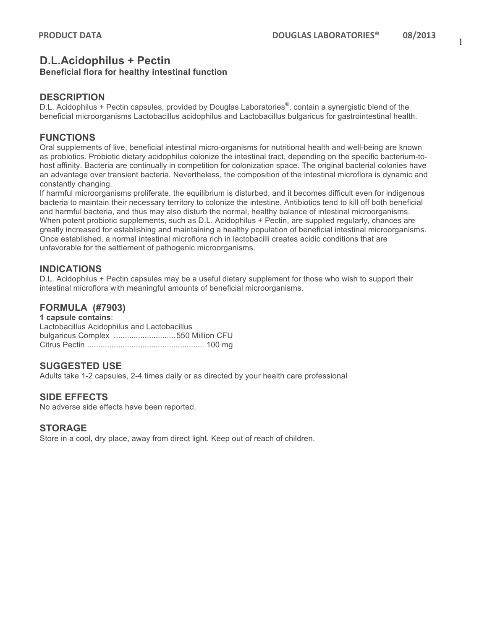## **D.L.Acidophilus + Pectin**

#### **Beneficial flora for healthy intestinal function**

#### **DESCRIPTION**

D.L. Acidophilus + Pectin capsules, provided by Douglas Laboratories®, contain a synergistic blend of the beneficial microorganisms Lactobacillus acidophilus and Lactobacillus bulgaricus for gastrointestinal health.

#### **FUNCTIONS**

Oral supplements of live, beneficial intestinal micro-organisms for nutritional health and well-being are known as probiotics. Probiotic dietary acidophilus colonize the intestinal tract, depending on the specific bacterium-tohost affinity. Bacteria are continually in competition for colonization space. The original bacterial colonies have an advantage over transient bacteria. Nevertheless, the composition of the intestinal microflora is dynamic and constantly changing.

If harmful microorganisms proliferate, the equilibrium is disturbed, and it becomes difficult even for indigenous bacteria to maintain their necessary territory to colonize the intestine. Antibiotics tend to kill off both beneficial and harmful bacteria, and thus may also disturb the normal, healthy balance of intestinal microorganisms. When potent probiotic supplements, such as D.L. Acidophilus + Pectin, are supplied regularly, chances are greatly increased for establishing and maintaining a healthy population of beneficial intestinal microorganisms. Once established, a normal intestinal microflora rich in lactobacilli creates acidic conditions that are unfavorable for the settlement of pathogenic microorganisms.

#### **INDICATIONS**

D.L. Acidophilus + Pectin capsules may be a useful dietary supplement for those who wish to support their intestinal microflora with meaningful amounts of beneficial microorganisms.

#### **FORMULA (#7903)**

| 1 capsule contains:                         |  |
|---------------------------------------------|--|
| Lactobacillus Acidophilus and Lactobacillus |  |
| bulgaricus Complex 550 Million CFU          |  |
|                                             |  |

#### **SUGGESTED USE**

Adults take 1-2 capsules, 2-4 times daily or as directed by your health care professional

#### **SIDE EFFECTS**

No adverse side effects have been reported.

#### **STORAGE**

Store in a cool, dry place, away from direct light. Keep out of reach of children.